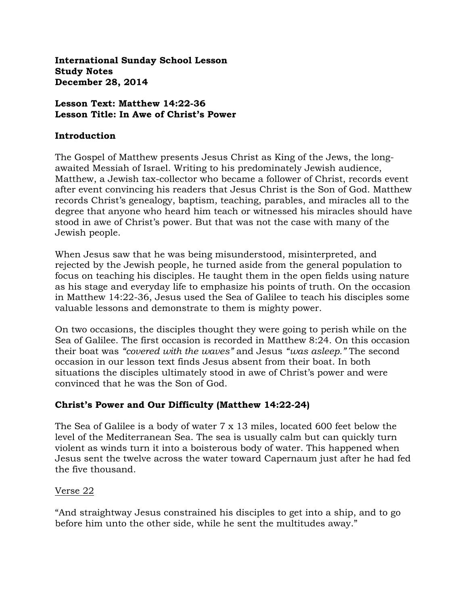**International Sunday School Lesson Study Notes December 28, 2014**

### **Lesson Text: Matthew 14:22-36 Lesson Title: In Awe of Christ's Power**

### **Introduction**

The Gospel of Matthew presents Jesus Christ as King of the Jews, the longawaited Messiah of Israel. Writing to his predominately Jewish audience, Matthew, a Jewish tax-collector who became a follower of Christ, records event after event convincing his readers that Jesus Christ is the Son of God. Matthew records Christ's genealogy, baptism, teaching, parables, and miracles all to the degree that anyone who heard him teach or witnessed his miracles should have stood in awe of Christ's power. But that was not the case with many of the Jewish people.

When Jesus saw that he was being misunderstood, misinterpreted, and rejected by the Jewish people, he turned aside from the general population to focus on teaching his disciples. He taught them in the open fields using nature as his stage and everyday life to emphasize his points of truth. On the occasion in Matthew 14:22-36, Jesus used the Sea of Galilee to teach his disciples some valuable lessons and demonstrate to them is mighty power.

On two occasions, the disciples thought they were going to perish while on the Sea of Galilee. The first occasion is recorded in Matthew 8:24. On this occasion their boat was *"covered with the waves"* and Jesus *"was asleep."* The second occasion in our lesson text finds Jesus absent from their boat. In both situations the disciples ultimately stood in awe of Christ's power and were convinced that he was the Son of God.

## **Christ's Power and Our Difficulty (Matthew 14:22-24)**

The Sea of Galilee is a body of water 7 x 13 miles, located 600 feet below the level of the Mediterranean Sea. The sea is usually calm but can quickly turn violent as winds turn it into a boisterous body of water. This happened when Jesus sent the twelve across the water toward Capernaum just after he had fed the five thousand.

## Verse 22

"And straightway Jesus constrained his disciples to get into a ship, and to go before him unto the other side, while he sent the multitudes away."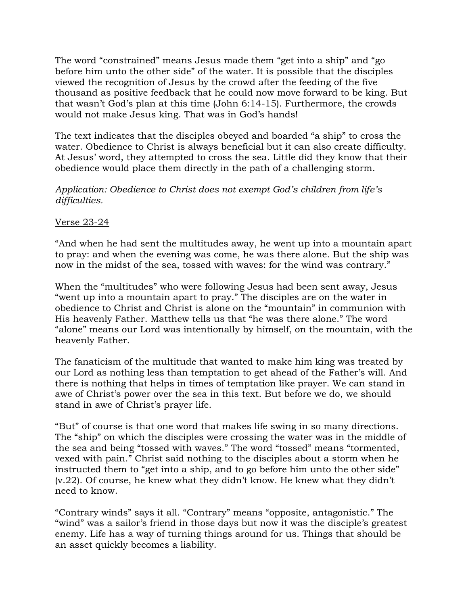The word "constrained" means Jesus made them "get into a ship" and "go before him unto the other side" of the water. It is possible that the disciples viewed the recognition of Jesus by the crowd after the feeding of the five thousand as positive feedback that he could now move forward to be king. But that wasn't God's plan at this time (John 6:14-15). Furthermore, the crowds would not make Jesus king. That was in God's hands!

The text indicates that the disciples obeyed and boarded "a ship" to cross the water. Obedience to Christ is always beneficial but it can also create difficulty. At Jesus' word, they attempted to cross the sea. Little did they know that their obedience would place them directly in the path of a challenging storm.

### *Application: Obedience to Christ does not exempt God's children from life's difficulties.*

## Verse 23-24

"And when he had sent the multitudes away, he went up into a mountain apart to pray: and when the evening was come, he was there alone. But the ship was now in the midst of the sea, tossed with waves: for the wind was contrary."

When the "multitudes" who were following Jesus had been sent away, Jesus "went up into a mountain apart to pray." The disciples are on the water in obedience to Christ and Christ is alone on the "mountain" in communion with His heavenly Father. Matthew tells us that "he was there alone." The word "alone" means our Lord was intentionally by himself, on the mountain, with the heavenly Father.

The fanaticism of the multitude that wanted to make him king was treated by our Lord as nothing less than temptation to get ahead of the Father's will. And there is nothing that helps in times of temptation like prayer. We can stand in awe of Christ's power over the sea in this text. But before we do, we should stand in awe of Christ's prayer life.

"But" of course is that one word that makes life swing in so many directions. The "ship" on which the disciples were crossing the water was in the middle of the sea and being "tossed with waves." The word "tossed" means "tormented, vexed with pain." Christ said nothing to the disciples about a storm when he instructed them to "get into a ship, and to go before him unto the other side" (v.22). Of course, he knew what they didn't know. He knew what they didn't need to know.

"Contrary winds" says it all. "Contrary" means "opposite, antagonistic." The "wind" was a sailor's friend in those days but now it was the disciple's greatest enemy. Life has a way of turning things around for us. Things that should be an asset quickly becomes a liability.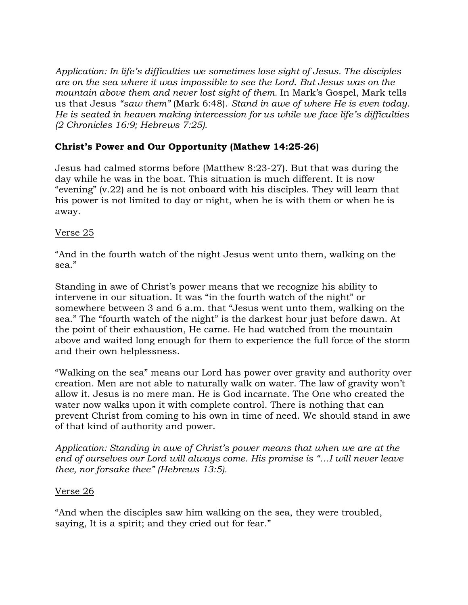*Application: In life's difficulties we sometimes lose sight of Jesus. The disciples are on the sea where it was impossible to see the Lord. But Jesus was on the mountain above them and never lost sight of them.* In Mark's Gospel, Mark tells us that Jesus *"saw them"* (Mark 6:48). *Stand in awe of where He is even today. He is seated in heaven making intercession for us while we face life's difficulties (2 Chronicles 16:9; Hebrews 7:25).*

## **Christ's Power and Our Opportunity (Mathew 14:25-26)**

Jesus had calmed storms before (Matthew 8:23-27). But that was during the day while he was in the boat. This situation is much different. It is now "evening" (v.22) and he is not onboard with his disciples. They will learn that his power is not limited to day or night, when he is with them or when he is away.

## Verse 25

"And in the fourth watch of the night Jesus went unto them, walking on the sea."

Standing in awe of Christ's power means that we recognize his ability to intervene in our situation. It was "in the fourth watch of the night" or somewhere between 3 and 6 a.m. that "Jesus went unto them, walking on the sea." The "fourth watch of the night" is the darkest hour just before dawn. At the point of their exhaustion, He came. He had watched from the mountain above and waited long enough for them to experience the full force of the storm and their own helplessness.

"Walking on the sea" means our Lord has power over gravity and authority over creation. Men are not able to naturally walk on water. The law of gravity won't allow it. Jesus is no mere man. He is God incarnate. The One who created the water now walks upon it with complete control. There is nothing that can prevent Christ from coming to his own in time of need. We should stand in awe of that kind of authority and power.

*Application: Standing in awe of Christ's power means that when we are at the end of ourselves our Lord will always come. His promise is "…I will never leave thee, nor forsake thee" (Hebrews 13:5).* 

## Verse 26

"And when the disciples saw him walking on the sea, they were troubled, saying, It is a spirit; and they cried out for fear."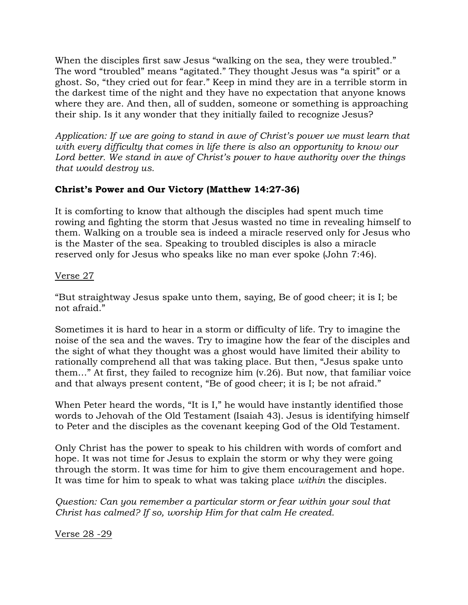When the disciples first saw Jesus "walking on the sea, they were troubled." The word "troubled" means "agitated." They thought Jesus was "a spirit" or a ghost. So, "they cried out for fear." Keep in mind they are in a terrible storm in the darkest time of the night and they have no expectation that anyone knows where they are. And then, all of sudden, someone or something is approaching their ship. Is it any wonder that they initially failed to recognize Jesus?

*Application: If we are going to stand in awe of Christ's power we must learn that with every difficulty that comes in life there is also an opportunity to know our Lord better. We stand in awe of Christ's power to have authority over the things that would destroy us.* 

# **Christ's Power and Our Victory (Matthew 14:27-36)**

It is comforting to know that although the disciples had spent much time rowing and fighting the storm that Jesus wasted no time in revealing himself to them. Walking on a trouble sea is indeed a miracle reserved only for Jesus who is the Master of the sea. Speaking to troubled disciples is also a miracle reserved only for Jesus who speaks like no man ever spoke (John 7:46).

## Verse 27

"But straightway Jesus spake unto them, saying, Be of good cheer; it is I; be not afraid."

Sometimes it is hard to hear in a storm or difficulty of life. Try to imagine the noise of the sea and the waves. Try to imagine how the fear of the disciples and the sight of what they thought was a ghost would have limited their ability to rationally comprehend all that was taking place. But then, "Jesus spake unto them…" At first, they failed to recognize him (v.26). But now, that familiar voice and that always present content, "Be of good cheer; it is I; be not afraid."

When Peter heard the words, "It is I," he would have instantly identified those words to Jehovah of the Old Testament (Isaiah 43). Jesus is identifying himself to Peter and the disciples as the covenant keeping God of the Old Testament.

Only Christ has the power to speak to his children with words of comfort and hope. It was not time for Jesus to explain the storm or why they were going through the storm. It was time for him to give them encouragement and hope. It was time for him to speak to what was taking place *within* the disciples.

*Question: Can you remember a particular storm or fear within your soul that Christ has calmed? If so, worship Him for that calm He created.*

Verse 28 -29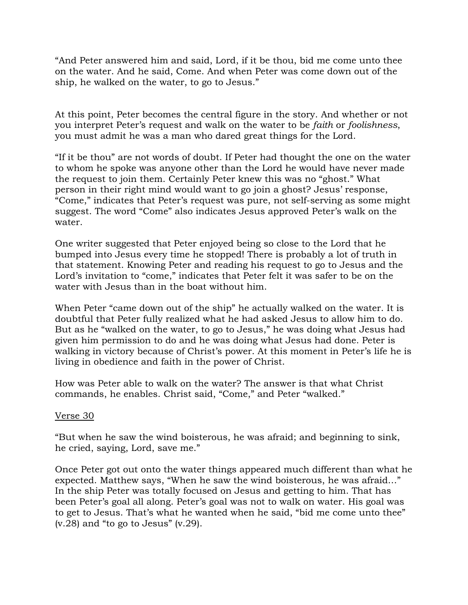"And Peter answered him and said, Lord, if it be thou, bid me come unto thee on the water. And he said, Come. And when Peter was come down out of the ship, he walked on the water, to go to Jesus."

At this point, Peter becomes the central figure in the story. And whether or not you interpret Peter's request and walk on the water to be *faith* or *foolishness*, you must admit he was a man who dared great things for the Lord.

"If it be thou" are not words of doubt. If Peter had thought the one on the water to whom he spoke was anyone other than the Lord he would have never made the request to join them. Certainly Peter knew this was no "ghost." What person in their right mind would want to go join a ghost? Jesus' response, "Come," indicates that Peter's request was pure, not self-serving as some might suggest. The word "Come" also indicates Jesus approved Peter's walk on the water.

One writer suggested that Peter enjoyed being so close to the Lord that he bumped into Jesus every time he stopped! There is probably a lot of truth in that statement. Knowing Peter and reading his request to go to Jesus and the Lord's invitation to "come," indicates that Peter felt it was safer to be on the water with Jesus than in the boat without him.

When Peter "came down out of the ship" he actually walked on the water. It is doubtful that Peter fully realized what he had asked Jesus to allow him to do. But as he "walked on the water, to go to Jesus," he was doing what Jesus had given him permission to do and he was doing what Jesus had done. Peter is walking in victory because of Christ's power. At this moment in Peter's life he is living in obedience and faith in the power of Christ.

How was Peter able to walk on the water? The answer is that what Christ commands, he enables. Christ said, "Come," and Peter "walked."

## Verse 30

"But when he saw the wind boisterous, he was afraid; and beginning to sink, he cried, saying, Lord, save me."

Once Peter got out onto the water things appeared much different than what he expected. Matthew says, "When he saw the wind boisterous, he was afraid…" In the ship Peter was totally focused on Jesus and getting to him. That has been Peter's goal all along. Peter's goal was not to walk on water. His goal was to get to Jesus. That's what he wanted when he said, "bid me come unto thee"  $(v.28)$  and "to go to Jesus"  $(v.29)$ .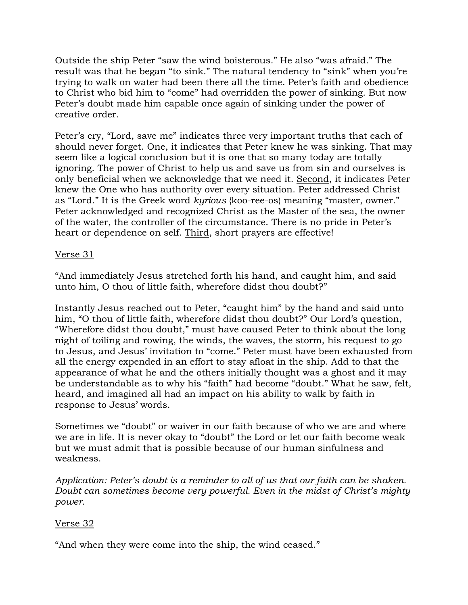Outside the ship Peter "saw the wind boisterous." He also "was afraid." The result was that he began "to sink." The natural tendency to "sink" when you're trying to walk on water had been there all the time. Peter's faith and obedience to Christ who bid him to "come" had overridden the power of sinking. But now Peter's doubt made him capable once again of sinking under the power of creative order.

Peter's cry, "Lord, save me" indicates three very important truths that each of should never forget. One, it indicates that Peter knew he was sinking. That may seem like a logical conclusion but it is one that so many today are totally ignoring. The power of Christ to help us and save us from sin and ourselves is only beneficial when we acknowledge that we need it. Second, it indicates Peter knew the One who has authority over every situation. Peter addressed Christ as "Lord." It is the Greek word *kyrious* {koo-ree-os} meaning "master, owner." Peter acknowledged and recognized Christ as the Master of the sea, the owner of the water, the controller of the circumstance. There is no pride in Peter's heart or dependence on self. Third, short prayers are effective!

### Verse 31

"And immediately Jesus stretched forth his hand, and caught him, and said unto him, O thou of little faith, wherefore didst thou doubt?"

Instantly Jesus reached out to Peter, "caught him" by the hand and said unto him, "O thou of little faith, wherefore didst thou doubt?" Our Lord's question, "Wherefore didst thou doubt," must have caused Peter to think about the long night of toiling and rowing, the winds, the waves, the storm, his request to go to Jesus, and Jesus' invitation to "come." Peter must have been exhausted from all the energy expended in an effort to stay afloat in the ship. Add to that the appearance of what he and the others initially thought was a ghost and it may be understandable as to why his "faith" had become "doubt." What he saw, felt, heard, and imagined all had an impact on his ability to walk by faith in response to Jesus' words.

Sometimes we "doubt" or waiver in our faith because of who we are and where we are in life. It is never okay to "doubt" the Lord or let our faith become weak but we must admit that is possible because of our human sinfulness and weakness.

*Application: Peter's doubt is a reminder to all of us that our faith can be shaken. Doubt can sometimes become very powerful. Even in the midst of Christ's mighty power.*

## Verse 32

"And when they were come into the ship, the wind ceased."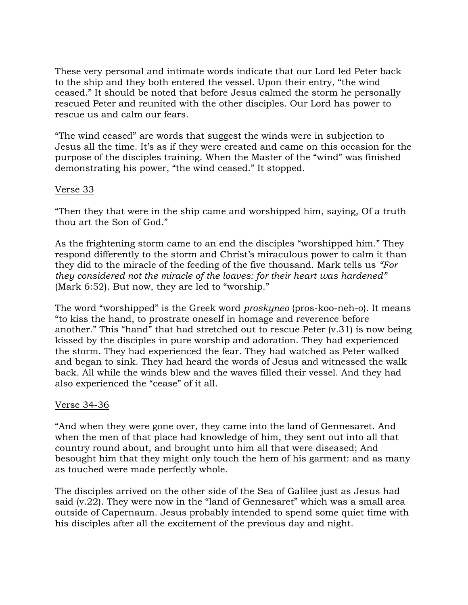These very personal and intimate words indicate that our Lord led Peter back to the ship and they both entered the vessel. Upon their entry, "the wind ceased." It should be noted that before Jesus calmed the storm he personally rescued Peter and reunited with the other disciples. Our Lord has power to rescue us and calm our fears.

"The wind ceased" are words that suggest the winds were in subjection to Jesus all the time. It's as if they were created and came on this occasion for the purpose of the disciples training. When the Master of the "wind" was finished demonstrating his power, "the wind ceased." It stopped.

### Verse 33

"Then they that were in the ship came and worshipped him, saying, Of a truth thou art the Son of God."

As the frightening storm came to an end the disciples "worshipped him." They respond differently to the storm and Christ's miraculous power to calm it than they did to the miracle of the feeding of the five thousand. Mark tells us *"For they considered not the miracle of the loaves: for their heart was hardened"*  (Mark 6:52). But now, they are led to "worship."

The word "worshipped" is the Greek word *proskyneo* {pros-koo-neh-o}. It means "to kiss the hand, to prostrate oneself in homage and reverence before another." This "hand" that had stretched out to rescue Peter (v.31) is now being kissed by the disciples in pure worship and adoration. They had experienced the storm. They had experienced the fear. They had watched as Peter walked and began to sink. They had heard the words of Jesus and witnessed the walk back. All while the winds blew and the waves filled their vessel. And they had also experienced the "cease" of it all.

#### Verse 34-36

"And when they were gone over, they came into the land of Gennesaret. And when the men of that place had knowledge of him, they sent out into all that country round about, and brought unto him all that were diseased; And besought him that they might only touch the hem of his garment: and as many as touched were made perfectly whole.

The disciples arrived on the other side of the Sea of Galilee just as Jesus had said (v.22). They were now in the "land of Gennesaret" which was a small area outside of Capernaum. Jesus probably intended to spend some quiet time with his disciples after all the excitement of the previous day and night.